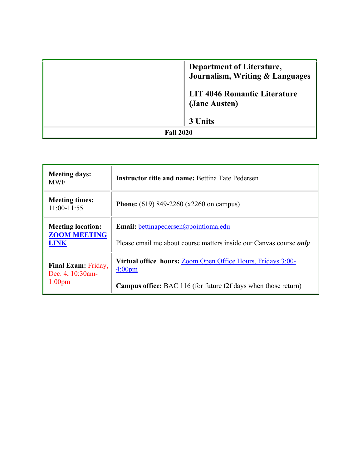|                  | <b>Department of Literature,</b><br>Journalism, Writing & Languages |
|------------------|---------------------------------------------------------------------|
|                  | <b>LIT 4046 Romantic Literature</b><br>(Jane Austen)                |
|                  | 3 Units                                                             |
| <b>Fall 2020</b> |                                                                     |

| <b>Meeting days:</b><br>MWF                                    | <b>Instructor title and name: Bettina Tate Pedersen</b>                                  |  |
|----------------------------------------------------------------|------------------------------------------------------------------------------------------|--|
| <b>Meeting times:</b><br>$11:00-11:55$                         | <b>Phone:</b> (619) 849-2260 (x2260 on campus)                                           |  |
| <b>Meeting location:</b><br><b>ZOOM MEETING</b><br><b>LINK</b> | <b>Email:</b> bettinapedersen@pointloma.edu                                              |  |
|                                                                | Please email me about course matters inside our Canvas course <i>only</i>                |  |
| Final Exam: Friday,<br>Dec. 4, 10:30am-<br>1:00 <sub>pm</sub>  | <b>Virtual office hours: Zoom Open Office Hours, Fridays 3:00-</b><br>4:00 <sub>pm</sub> |  |
|                                                                | <b>Campus office:</b> BAC 116 (for future f2f days when those return)                    |  |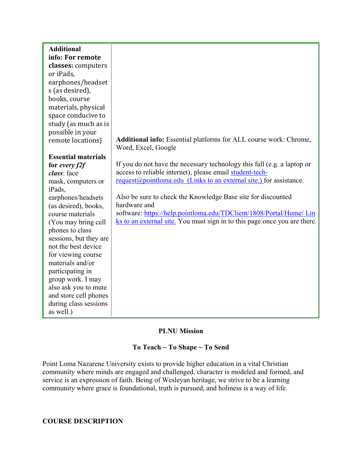| <b>Additional</b>          |                                                                           |
|----------------------------|---------------------------------------------------------------------------|
| info: For remote           |                                                                           |
| classes: computers         |                                                                           |
| or iPads,                  |                                                                           |
| earphones/headset          |                                                                           |
| s (as desired),            |                                                                           |
| books, course              |                                                                           |
| materials, physical        |                                                                           |
| space conducive to         |                                                                           |
| study (as much as is       |                                                                           |
| possible in your           |                                                                           |
| remote locations)          | Additional info: Essential platforms for ALL course work: Chrome,         |
|                            | Word, Excel, Google                                                       |
| <b>Essential materials</b> |                                                                           |
| for every $f2f$            | If you do not have the necessary technology this fall (e.g. a laptop or   |
| class: face                | access to reliable internet), please email student-tech-                  |
| mask, computers or         | $request@pointloma.edu$ (Links to an external site.) for assistance.      |
| iPads,                     |                                                                           |
| earphones/headsets         | Also be sure to check the Knowledge Base site for discounted              |
| (as desired), books,       | hardware and                                                              |
| course materials           | software: https://help.pointloma.edu/TDClient/1808/Portal/Home/ Lin       |
| (You may bring cell        | ks to an external site. You must sign in to this page once you are there. |
| phones to class            |                                                                           |
| sessions, but they are     |                                                                           |
| not the best device        |                                                                           |
| for viewing course         |                                                                           |
| materials and/or           |                                                                           |
| participating in           |                                                                           |
| group work. I may          |                                                                           |
| also ask you to mute       |                                                                           |
| and store cell phones      |                                                                           |
| during class sessions      |                                                                           |
| as well.)                  |                                                                           |

### **PLNU Mission**

# **To Teach ~ To Shape ~ To Send**

Point Loma Nazarene University exists to provide higher education in a vital Christian community where minds are engaged and challenged, character is modeled and formed, and service is an expression of faith. Being of Wesleyan heritage, we strive to be a learning community where grace is foundational, truth is pursued, and holiness is a way of life.

## **COURSE DESCRIPTION**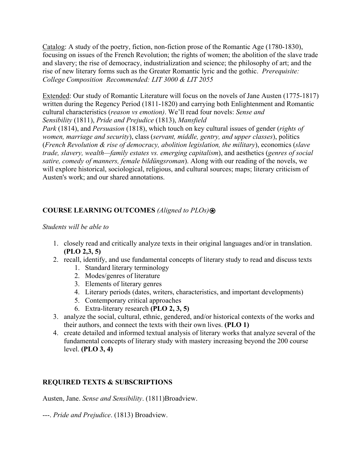Catalog: A study of the poetry, fiction, non-fiction prose of the Romantic Age (1780-1830), focusing on issues of the French Revolution; the rights of women; the abolition of the slave trade and slavery; the rise of democracy, industrialization and science; the philosophy of art; and the rise of new literary forms such as the Greater Romantic lyric and the gothic. *Prerequisite: College Composition Recommended: LIT 3000 & LIT 2055*

Extended: Our study of Romantic Literature will focus on the novels of Jane Austen (1775-1817) written during the Regency Period (1811-1820) and carrying both Enlightenment and Romantic cultural characteristics (*reason vs emotion)*. We'll read four novels: *Sense and Sensibility* (1811), *Pride and Prejudice* (1813), *Mansfield* 

*Park* (1814), and *Persuasion* (1818), which touch on key cultural issues of gender (*rights of women, marriage and security*), class (*servant, middle, gentry, and upper classes*), politics (*French Revolution & rise of democracy, abolition legislation, the military*), economics (*slave trade, slavery, wealth—family estates vs. emerging capitalism*), and aesthetics (*genres of social satire, comedy of manners, female bildüngsroman*). Along with our reading of the novels, we will explore historical, sociological, religious, and cultural sources; maps; literary criticism of Austen's work; and our shared annotations.

# **COURSE LEARNING OUTCOMES** *(Aligned to PLOs)*⍟

### *Students will be able to*

- 1. closely read and critically analyze texts in their original languages and/or in translation. **(PLO 2,3, 5)**
- 2. recall, identify, and use fundamental concepts of literary study to read and discuss texts
	- 1. Standard literary terminology
	- 2. Modes/genres of literature
	- 3. Elements of literary genres
	- 4. Literary periods (dates, writers, characteristics, and important developments)
	- 5. Contemporary critical approaches
	- 6. Extra-literary research **(PLO 2, 3, 5)**
- 3. analyze the social, cultural, ethnic, gendered, and/or historical contexts of the works and their authors, and connect the texts with their own lives. **(PLO 1)**
- 4. create detailed and informed textual analysis of literary works that analyze several of the fundamental concepts of literary study with mastery increasing beyond the 200 course level. **(PLO 3, 4)**

# **REQUIRED TEXTS & SUBSCRIPTIONS**

Austen, Jane. *Sense and Sensibility*. (1811)Broadview.

---. *Pride and Prejudice*. (1813) Broadview.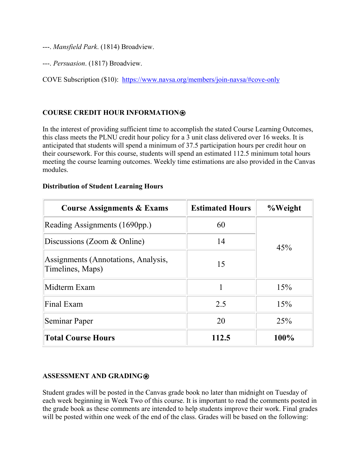---. *Mansfield Park*. (1814) Broadview.

---. *Persuasion*. (1817) Broadview.

COVE Subscription (\$10): <https://www.navsa.org/members/join-navsa/#cove-only>

# **COURSE CREDIT HOUR INFORMATION**⍟

In the interest of providing sufficient time to accomplish the stated Course Learning Outcomes, this class meets the PLNU credit hour policy for a 3 unit class delivered over 16 weeks. It is anticipated that students will spend a minimum of 37.5 participation hours per credit hour on their coursework. For this course, students will spend an estimated 112.5 minimum total hours meeting the course learning outcomes. Weekly time estimations are also provided in the Canvas modules.

| <b>Course Assignments &amp; Exams</b>                   | <b>Estimated Hours</b> | %Weight |  |
|---------------------------------------------------------|------------------------|---------|--|
| Reading Assignments (1690pp.)<br>60                     |                        |         |  |
| Discussions (Zoom & Online)                             | 14                     | 45%     |  |
| Assignments (Annotations, Analysis,<br>Timelines, Maps) | 15                     |         |  |
| Midterm Exam                                            |                        | 15%     |  |
| Final Exam                                              | 2.5                    | 15%     |  |
| Seminar Paper                                           | 20                     | 25%     |  |
| <b>Total Course Hours</b>                               | 112.5                  | 100%    |  |

### **Distribution of Student Learning Hours**

### **ASSESSMENT AND GRADING**⍟

Student grades will be posted in the Canvas grade book no later than midnight on Tuesday of each week beginning in Week Two of this course. It is important to read the comments posted in the grade book as these comments are intended to help students improve their work. Final grades will be posted within one week of the end of the class. Grades will be based on the following: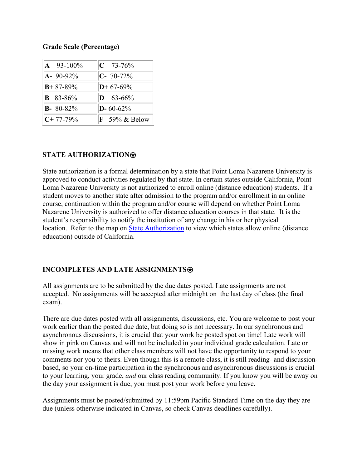## **Grade Scale (Percentage)**

| $\mathbf{A}$ 93-100% | $C$ 73-76%               |
|----------------------|--------------------------|
| $A - 90 - 92\%$      | $C - 70 - 72\%$          |
| $B + 87 - 89%$       | $D+67-69%$               |
| <b>B</b> 83-86%      | $D = 63 - 66\%$          |
| $B - 80 - 82\%$      | $D - 60 - 62\%$          |
| $C+77-79%$           | $\mathbf{F}$ 59% & Below |

# **STATE AUTHORIZATION**⍟

State authorization is a formal determination by a state that Point Loma Nazarene University is approved to conduct activities regulated by that state. In certain states outside California, Point Loma Nazarene University is not authorized to enroll online (distance education) students. If a student moves to another state after admission to the program and/or enrollment in an online course, continuation within the program and/or course will depend on whether Point Loma Nazarene University is authorized to offer distance education courses in that state. It is the student's responsibility to notify the institution of any change in his or her physical location. Refer to the map on [State Authorization](https://www.pointloma.edu/offices/office-institutional-effectiveness-research/disclosures) to view which states allow online (distance education) outside of California.

# **INCOMPLETES AND LATE ASSIGNMENTS**

All assignments are to be submitted by the due dates posted. Late assignments are not accepted. No assignments will be accepted after midnight on the last day of class (the final exam).

There are due dates posted with all assignments, discussions, etc. You are welcome to post your work earlier than the posted due date, but doing so is not necessary. In our synchronous and asynchronous discussions, it is crucial that your work be posted spot on time! Late work will show in pink on Canvas and will not be included in your individual grade calculation. Late or missing work means that other class members will not have the opportunity to respond to your comments nor you to theirs. Even though this is a remote class, it is still reading- and discussionbased, so your on-time participation in the synchronous and asynchronous discussions is crucial to your learning, your grade, *and* our class reading community. If you know you will be away on the day your assignment is due, you must post your work before you leave.

Assignments must be posted/submitted by 11:59pm Pacific Standard Time on the day they are due (unless otherwise indicated in Canvas, so check Canvas deadlines carefully).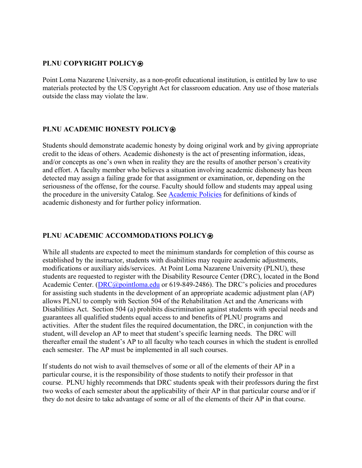## **PLNU COPYRIGHT POLICY**⍟

Point Loma Nazarene University, as a non-profit educational institution, is entitled by law to use materials protected by the US Copyright Act for classroom education. Any use of those materials outside the class may violate the law.

## **PLNU ACADEMIC HONESTY POLICY<sup>**</sup>

Students should demonstrate academic honesty by doing original work and by giving appropriate credit to the ideas of others. Academic dishonesty is the act of presenting information, ideas, and/or concepts as one's own when in reality they are the results of another person's creativity and effort. A faculty member who believes a situation involving academic dishonesty has been detected may assign a failing grade for that assignment or examination, or, depending on the seriousness of the offense, for the course. Faculty should follow and students may appeal using the procedure in the university Catalog. See [Academic Policies](http://catalog.pointloma.edu/content.php?catoid=18&navoid=1278) for definitions of kinds of academic dishonesty and for further policy information.

## **PLNU ACADEMIC ACCOMMODATIONS POLICY<sup>®</sup>**

While all students are expected to meet the minimum standards for completion of this course as established by the instructor, students with disabilities may require academic adjustments, modifications or auxiliary aids/services. At Point Loma Nazarene University (PLNU), these students are requested to register with the Disability Resource Center (DRC), located in the Bond Academic Center. [\(DRC@pointloma.edu](mailto:DRC@pointloma.edu) or 619-849-2486). The DRC's policies and procedures for assisting such students in the development of an appropriate academic adjustment plan (AP) allows PLNU to comply with Section 504 of the Rehabilitation Act and the Americans with Disabilities Act. Section 504 (a) prohibits discrimination against students with special needs and guarantees all qualified students equal access to and benefits of PLNU programs and activities. After the student files the required documentation, the DRC, in conjunction with the student, will develop an AP to meet that student's specific learning needs. The DRC will thereafter email the student's AP to all faculty who teach courses in which the student is enrolled each semester. The AP must be implemented in all such courses.

If students do not wish to avail themselves of some or all of the elements of their AP in a particular course, it is the responsibility of those students to notify their professor in that course. PLNU highly recommends that DRC students speak with their professors during the first two weeks of each semester about the applicability of their AP in that particular course and/or if they do not desire to take advantage of some or all of the elements of their AP in that course.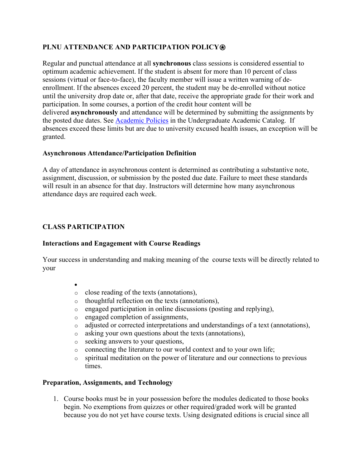# **PLNU ATTENDANCE AND PARTICIPATION POLICY**⍟

Regular and punctual attendance at all **synchronous** class sessions is considered essential to optimum academic achievement. If the student is absent for more than 10 percent of class sessions (virtual or face-to-face), the faculty member will issue a written warning of deenrollment. If the absences exceed 20 percent, the student may be de-enrolled without notice until the university drop date or, after that date, receive the appropriate grade for their work and participation. In some courses, a portion of the credit hour content will be delivered **asynchronously** and attendance will be determined by submitting the assignments by the posted due dates. See [Academic Policies](https://catalog.pointloma.edu/content.php?catoid=46&navoid=2650#Class_Attendance) in the Undergraduate Academic Catalog. If absences exceed these limits but are due to university excused health issues, an exception will be granted.

## **Asynchronous Attendance/Participation Definition**

A day of attendance in asynchronous content is determined as contributing a substantive note, assignment, discussion, or submission by the posted due date. Failure to meet these standards will result in an absence for that day. Instructors will determine how many asynchronous attendance days are required each week.

# **CLASS PARTICIPATION**

### **Interactions and Engagement with Course Readings**

Your success in understanding and making meaning of the course texts will be directly related to your

- •
- o close reading of the texts (annotations),
- o thoughtful reflection on the texts (annotations),
- o engaged participation in online discussions (posting and replying),
- o engaged completion of assignments,
- o adjusted or corrected interpretations and understandings of a text (annotations),
- o asking your own questions about the texts (annotations),
- o seeking answers to your questions,
- o connecting the literature to our world context and to your own life;
- o spiritual meditation on the power of literature and our connections to previous times.

# **Preparation, Assignments, and Technology**

1. Course books must be in your possession before the modules dedicated to those books begin. No exemptions from quizzes or other required/graded work will be granted because you do not yet have course texts. Using designated editions is crucial since all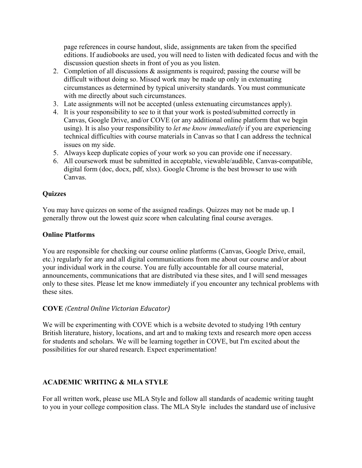page references in course handout, slide, assignments are taken from the specified editions. If audiobooks are used, you will need to listen with dedicated focus and with the discussion question sheets in front of you as you listen.

- 2. Completion of all discussions & assignments is required; passing the course will be difficult without doing so. Missed work may be made up only in extenuating circumstances as determined by typical university standards. You must communicate with me directly about such circumstances.
- 3. Late assignments will not be accepted (unless extenuating circumstances apply).
- 4. It is your responsibility to see to it that your work is posted/submitted correctly in Canvas, Google Drive, and/or COVE (or any additional online platform that we begin using). It is also your responsibility to *let me know immediately* if you are experiencing technical difficulties with course materials in Canvas so that I can address the technical issues on my side.
- 5. Always keep duplicate copies of your work so you can provide one if necessary.
- 6. All coursework must be submitted in acceptable, viewable/audible, Canvas-compatible, digital form (doc, docx, pdf, xlsx). Google Chrome is the best browser to use with Canvas.

## **Quizzes**

You may have quizzes on some of the assigned readings. Quizzes may not be made up. I generally throw out the lowest quiz score when calculating final course averages.

### **Online Platforms**

You are responsible for checking our course online platforms (Canvas, Google Drive, email, etc.) regularly for any and all digital communications from me about our course and/or about your individual work in the course. You are fully accountable for all course material, announcements, communications that are distributed via these sites, and I will send messages only to these sites. Please let me know immediately if you encounter any technical problems with these sites.

# **COVE** *(Central Online Victorian Educator)*

We will be experimenting with COVE which is a website devoted to studying 19th century British literature, history, locations, and art and to making texts and research more open access for students and scholars. We will be learning together in COVE, but I'm excited about the possibilities for our shared research. Expect experimentation!

# **ACADEMIC WRITING & MLA STYLE**

For all written work, please use MLA Style and follow all standards of academic writing taught to you in your college composition class. The MLA Style includes the standard use of inclusive